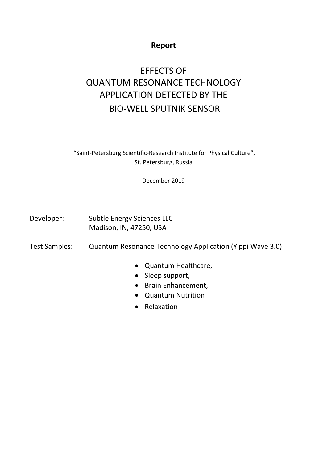## **Report**

# EFFECTS OF QUANTUM RESONANCE TECHNOLOGY APPLICATION DETECTED BY THE BIO-WELL SPUTNIK SENSOR

"Saint-Petersburg Scientific-Research Institute for Physical Culture", St. Petersburg, Russia

December 2019

Developer: Subtle Energy Sciences LLC Madison, IN, 47250, USA

Test Samples: Quantum Resonance Technology Application (Yippi Wave 3.0)

- Quantum Healthcare,
- Sleep support,
- Brain Enhancement,
- Quantum Nutrition
- Relaxation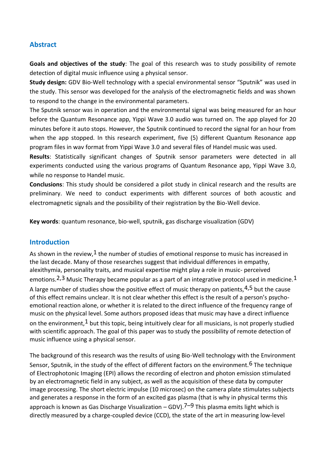## **Abstract**

**Goals and objectives of the study**: The goal of this research was to study possibility of remote detection of digital music influence using a physical sensor.

**Study design:** GDV Bio-Well technology with a special environmental sensor "Sputnik" was used in the study. This sensor was developed for the analysis of the electromagnetic fields and was shown to respond to the change in the environmental parameters.

The Sputnik sensor was in operation and the environmental signal was being measured for an hour before the Quantum Resonance app, Yippi Wave 3.0 audio was turned on. The app played for 20 minutes before it auto stops. However, the Sputnik continued to record the signal for an hour from when the app stopped. In this research experiment, five (5) different Quantum Resonance app program files in wav format from Yippi Wave 3.0 and several files of Handel music was used.

**Results**: Statistically significant changes of Sputnik sensor parameters were detected in all experiments conducted using the various programs of Quantum Resonance app, Yippi Wave 3.0, while no response to Handel music.

**Conclusions**: This study should be considered a pilot study in clinical research and the results are preliminary. We need to conduct experiments with different sources of both acoustic and electromagnetic signals and the possibility of their registration by the Bio-Well device.

**Key words**: quantum resonance, bio-well, sputnik, gas discharge visualization (GDV)

#### **Introduction**

As shown in the review,  $1$  the number of studies of emotional response to music has increased in the last decade. Many of those researches suggest that individual differences in empathy, alexithymia, personality traits, and musical expertise might play a role in music- perceived emotions.<sup>2,3</sup> Music Therapy became popular as a part of an integrative protocol used in medicine.<sup>1</sup> A large number of studies show the positive effect of music therapy on patients.<sup>4,5</sup> but the cause of this effect remains unclear. It is not clear whether this effect is the result of a person's psychoemotional reaction alone, or whether it is related to the direct influence of the frequency range of music on the physical level. Some authors proposed ideas that music may have a direct influence on the environment,  $1$  but this topic, being intuitively clear for all musicians, is not properly studied with scientific approach. The goal of this paper was to study the possibility of remote detection of music influence using a physical sensor.

The background of this research was the results of using Bio-Well technology with the Environment Sensor, Sputnik, in the study of the effect of different factors on the environment.<sup>6</sup> The technique of Electrophotonic Imaging (EPI) allows the recording of electron and photon emission stimulated by an electromagnetic field in any subject, as well as the acquisition of these data by computer image processing. The short electric impulse (10 microsec) on the camera plate stimulates subjects and generates a response in the form of an excited gas plasma (that is why in physical terms this approach is known as Gas Discharge Visualization – GDV).<sup>7–9</sup> This plasma emits light which is directly measured by a charge-coupled device (CCD), the state of the art in measuring low-level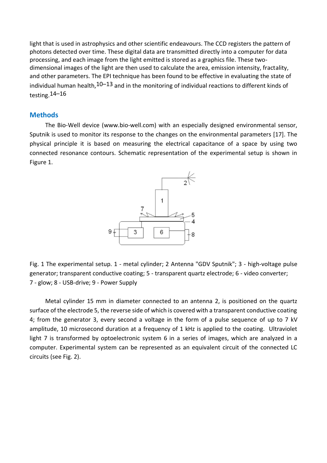light that is used in astrophysics and other scientific endeavours. The CCD registers the pattern of photons detected over time. These digital data are transmitted directly into a computer for data processing, and each image from the light emitted is stored as a graphics file. These twodimensional images of the light are then used to calculate the area, emission intensity, fractality, and other parameters. The EPI technique has been found to be effective in evaluating the state of individual human health,  $10-13$  and in the monitoring of individual reactions to different kinds of testing.14–16

#### **Methods**

The Bio-Well device (www.bio-well.com) with an especially designed environmental sensor, Sputnik is used to monitor its response to the changes on the environmental parameters [17]. The physical principle it is based on measuring the electrical capacitance of a space by using two connected resonance contours. Schematic representation of the experimental setup is shown in Figure 1.



Fig. 1 The experimental setup. 1 - metal cylinder; 2 Antenna "GDV Sputnik"; 3 - high-voltage pulse generator; transparent conductive coating; 5 - transparent quartz electrode; 6 - video converter; 7 - glow; 8 - USB-drive; 9 - Power Supply

Metal cylinder 15 mm in diameter connected to an antenna 2, is positioned on the quartz surface of the electrode 5, the reverse side of which is covered with a transparent conductive coating 4; from the generator 3, every second a voltage in the form of a pulse sequence of up to 7 kV amplitude, 10 microsecond duration at a frequency of 1 kHz is applied to the coating. Ultraviolet light 7 is transformed by optoelectronic system 6 in a series of images, which are analyzed in a computer. Experimental system can be represented as an equivalent circuit of the connected LC circuits (see Fig. 2).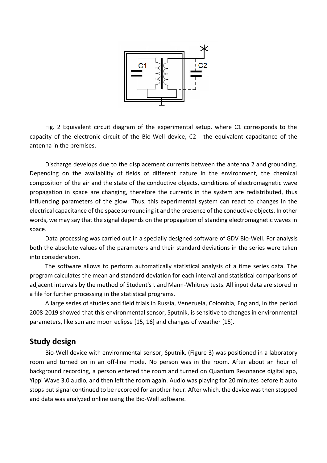

Fig. 2 Equivalent circuit diagram of the experimental setup, where C1 corresponds to the capacity of the electronic circuit of the Bio-Well device, C2 - the equivalent capacitance of the antenna in the premises.

Discharge develops due to the displacement currents between the antenna 2 and grounding. Depending on the availability of fields of different nature in the environment, the chemical composition of the air and the state of the conductive objects, conditions of electromagnetic wave propagation in space are changing, therefore the currents in the system are redistributed, thus influencing parameters of the glow. Thus, this experimental system can react to changes in the electrical capacitance of the space surrounding it and the presence of the conductive objects. In other words, we may say that the signal depends on the propagation of standing electromagnetic waves in space.

Data processing was carried out in a specially designed software of GDV Bio-Well. For analysis both the absolute values of the parameters and their standard deviations in the series were taken into consideration.

The software allows to perform automatically statistical analysis of a time series data. The program calculates the mean and standard deviation for each interval and statistical comparisons of adjacent intervals by the method of Student's t and Mann-Whitney tests. All input data are stored in a file for further processing in the statistical programs.

A large series of studies and field trials in Russia, Venezuela, Colombia, England, in the period 2008-2019 showed that this environmental sensor, Sputnik, is sensitive to changes in environmental parameters, like sun and moon eclipse [15, 16] and changes of weather [15].

## **Study design**

Bio-Well device with environmental sensor, Sputnik, (Figure 3) was positioned in a laboratory room and turned on in an off-line mode. No person was in the room. After about an hour of background recording, a person entered the room and turned on Quantum Resonance digital app, Yippi Wave 3.0 audio, and then left the room again. Audio was playing for 20 minutes before it auto stops but signal continued to be recorded for another hour. After which, the device was then stopped and data was analyzed online using the Bio-Well software.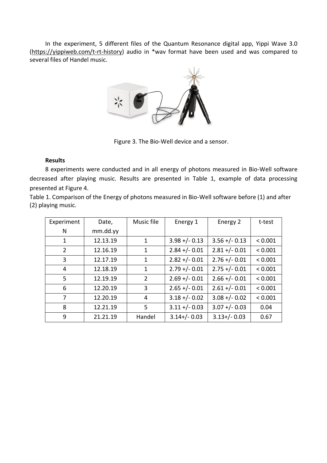In the experiment, 5 different files of the Quantum Resonance digital app, Yippi Wave 3.0 [\(https://yippiweb.com/t-rt-history\)](https://yippiweb.com/t-rt-history) audio in \*wav format have been used and was compared to several files of Handel music.



Figure 3. The Bio-Well device and a sensor.

#### **Results**

8 experiments were conducted and in all energy of photons measured in Bio-Well software decreased after playing music. Results are presented in Table 1, example of data processing presented at Figure 4.

Table 1. Comparison of the Energy of photons measured in Bio-Well software before (1) and after (2) playing music.

| Experiment     | Date,    | Music file     | Energy 1         | Energy 2         | t-test  |
|----------------|----------|----------------|------------------|------------------|---------|
| N              | mm.dd.yy |                |                  |                  |         |
| 1              | 12.13.19 | 1              | $3.98 + (-0.13)$ | $3.56 + (-0.13)$ | < 0.001 |
| $\overline{2}$ | 12.16.19 | 1              | $2.84 + (-0.01)$ | $2.81 + (-0.01)$ | < 0.001 |
| 3              | 12.17.19 | $\mathbf{1}$   | $2.82 + - 0.01$  | $2.76 + (-0.01)$ | < 0.001 |
| 4              | 12.18.19 | 1              | $2.79 + (-0.01)$ | $2.75 + (-0.01)$ | < 0.001 |
| 5              | 12.19.19 | $\overline{2}$ | $2.69 + (-0.01)$ | $2.66 + (-0.01)$ | < 0.001 |
| 6              | 12.20.19 | 3              | $2.65 + (-0.01)$ | $2.61 +/- 0.01$  | < 0.001 |
| 7              | 12.20.19 | 4              | $3.18 + (-0.02)$ | $3.08 + (-0.02)$ | < 0.001 |
| 8              | 12.21.19 | 5              | $3.11 + (-0.03)$ | $3.07 + (-0.03)$ | 0.04    |
| 9              | 21.21.19 | Handel         | $3.14+/- 0.03$   | $3.13+/-0.03$    | 0.67    |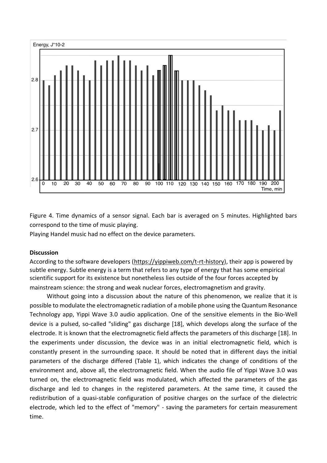

Figure 4. Time dynamics of a sensor signal. Each bar is averaged on 5 minutes. Highlighted bars correspond to the time of music playing.

Playing Handel music had no effect on the device parameters.

#### **Discussion**

According to the software developers [\(https://yippiweb.com/t-rt-history\)](https://yippiweb.com/t-rt-history), their app is powered by subtle energy. Subtle energy is a term that refers to any type of energy that has some empirical scientific support for its existence but nonetheless lies outside of the four forces accepted by mainstream science: the strong and weak nuclear forces, electromagnetism and gravity.

Without going into a discussion about the nature of this phenomenon, we realize that it is possible to modulate the electromagnetic radiation of a mobile phone using the Quantum Resonance Technology app, Yippi Wave 3.0 audio application. One of the sensitive elements in the Bio-Well device is a pulsed, so-called "sliding" gas discharge [18], which develops along the surface of the electrode. It is known that the electromagnetic field affects the parameters of this discharge [18]. In the experiments under discussion, the device was in an initial electromagnetic field, which is constantly present in the surrounding space. It should be noted that in different days the initial parameters of the discharge differed (Table 1), which indicates the change of conditions of the environment and, above all, the electromagnetic field. When the audio file of Yippi Wave 3.0 was turned on, the electromagnetic field was modulated, which affected the parameters of the gas discharge and led to changes in the registered parameters. At the same time, it caused the redistribution of a quasi-stable configuration of positive charges on the surface of the dielectric electrode, which led to the effect of "memory" - saving the parameters for certain measurement time.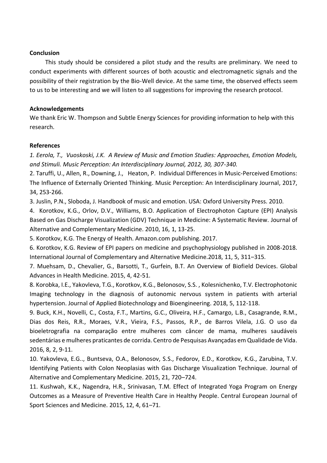#### **Conclusion**

This study should be considered a pilot study and the results are preliminary. We need to conduct experiments with different sources of both acoustic and electromagnetic signals and the possibility of their registration by the Bio-Well device. At the same time, the observed effects seem to us to be interesting and we will listen to all suggestions for improving the research protocol.

#### **Acknowledgements**

We thank Eric W. Thompson and Subtle Energy Sciences for providing information to help with this research.

#### **References**

*1. Eerola, T., Vuoskoski, J.K. A Review of Music and Emotion Studies: Approaches, Emotion Models, and Stimuli. Music Perception: An Interdisciplinary Journal, 2012, 30, 307-340.*

2. Taruffi, U., Allen, R., Downing, J., Heaton, P. [Individual Differences in Music-Perceived Emotions:](http://mp.ucpress.edu/content/34/3/253)  [The Influence of Externally Oriented Thinking.](http://mp.ucpress.edu/content/34/3/253) Music Perception: An Interdisciplinary Journal, 2017, 34, 253-266.

3. Juslin, P.N., Sloboda, J. Handbook of music and emotion. USA: Oxford University Press. 2010.

4. Korotkov, K.G., Orlov, D.V., Williams, B.O. Application of Electrophoton Capture (EPI) Analysis Based on Gas Discharge Visualization (GDV) Technique in Medicine: A Systematic Review. Journal of Alternative and Complementary Medicine. 2010, 16, 1, 13-25.

5. Korotkov, K.G. The Energy of Health. Amazon.com publishing. 2017.

6. Korotkov, K.G. Review of EPI papers on medicine and psychophysiology published in 2008-2018. International Journal of Complementary and Alternative Medicine. 2018, 11, 5, 311-315.

7. Muehsam, D., Chevalier, G., Barsotti, T., Gurfein, B.T. An Overview of Biofield Devices. Global Advances in Health Medicine. 2015, 4, 42-51.

8. Korobka, I.E., Yakovleva, T.G., Korotkov, K.G., Belonosov, S.S. , Kolesnichenko, T.V. Electrophotonic Imaging technology in the diagnosis of autonomic nervous system in patients with arterial hypertension. Journal of Applied Biotechnology and Bioengineering. 2018, 5, 112-118.

9. Buck, K.H., Novelli, C., Costa, F.T., Martins, G.C., Oliveira, H.F., Camargo, L.B., Casagrande, R.M., Dias dos Reis, R.R., Moraes, V.R., Vieira, F.S., Passos, R.P., de Barros Vilela, J.G. O uso da bioeletrografia na comparação entre mulheres com câncer de mama, mulheres saudáveis sedentárias e mulheres praticantes de corrida. Centro de Pesquisas Avançadas em Qualidade de Vida. 2016, 8, 2, 9-11.

10. Yakovleva, E.G.., Buntseva, O.A., Belonosov, S.S., Fedorov, E.D., Korotkov, K.G., Zarubina, T.V. Identifying Patients with Colon Neoplasias with Gas Discharge Visualization Technique. Journal of Alternative and Complementary Medicine. 2015, 21, 720–724.

11. Kushwah, K.K., Nagendra, H.R., Srinivasan, T.M. Effect of Integrated Yoga Program on Energy Outcomes as a Measure of Preventive Health Care in Healthy People. Central European Journal of Sport Sciences and Medicine. 2015, 12, 4, 61–71.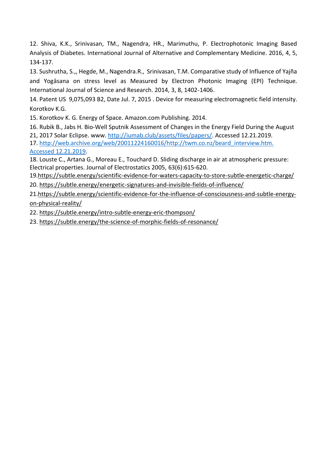12. Shiva, K.K., Srinivasan, TM., Nagendra, HR., Marimuthu, P. Electrophotonic Imaging Based Analysis of Diabetes. International Journal of Alternative and Complementary Medicine. 2016, 4, 5, 134-137.

13. Sushrutha, S.,, Hegde, M., Nagendra.R., Srinivasan, T.M. Comparative study of Influence of Yajña and Yogāsana on stress level as Measured by Electron Photonic Imaging (EPI) Technique. International Journal of Science and Research. 2014, 3, 8, 1402-1406.

14. Patent US 9,075,093 B2, Date Jul. 7, 2015 . Device for measuring electromagnetic field intensity. Korotkov K.G.

15. Korotkov K. G. Energy of Space. Amazon.com Publishing. 2014.

16. Rubik B., Jabs H. Bio-Well Sputnik Assessment of Changes in the Energy Field During the August 21, 2017 Solar Eclipse. www. [http://iumab.club/assets/files/papers/.](http://iumab.club/assets/files/papers/) Accessed 12.21.2019.

17. [http://web.archive.org/web/20011224160016/http://twm.co.nz/beard\\_interview.htm.](http://web.archive.org/web/20011224160016/http:/twm.co.nz/beard_interview.htm.%20Accessed%2012.21.2019)  [Accessed 12.21.2019.](http://web.archive.org/web/20011224160016/http:/twm.co.nz/beard_interview.htm.%20Accessed%2012.21.2019)

18. Louste C., Artana G., Moreau E., Touchard D. Sliding discharge in air at atmospheric pressure: Electrical properties. Journal of Electrostatics 2005, 63(6):615-620.

19[.https://subtle.energy/scientific-evidence-for-waters-capacity-to-store-subtle-energetic-charge/](https://subtle.energy/scientific-evidence-for-waters-capacity-to-store-subtle-energetic-charge/) 20.<https://subtle.energy/energetic-signatures-and-invisible-fields-of-influence/>

21[.https://subtle.energy/scientific-evidence-for-the-influence-of-consciousness-and-subtle-energy](https://subtle.energy/scientific-evidence-for-the-influence-of-consciousness-and-subtle-energy-on-physical-reality/)[on-physical-reality/](https://subtle.energy/scientific-evidence-for-the-influence-of-consciousness-and-subtle-energy-on-physical-reality/)

22.<https://subtle.energy/intro-subtle-energy-eric-thompson/>

23.<https://subtle.energy/the-science-of-morphic-fields-of-resonance/>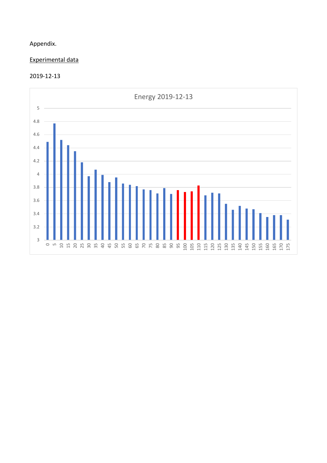## Appendix.

## Experimental data

#### 2019-12-13

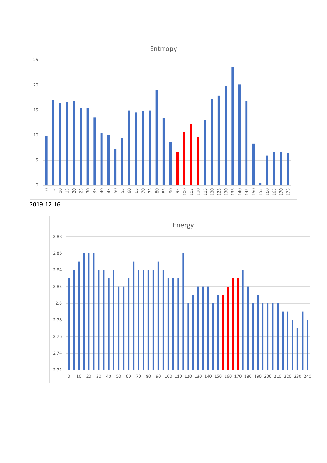

2019-12-16

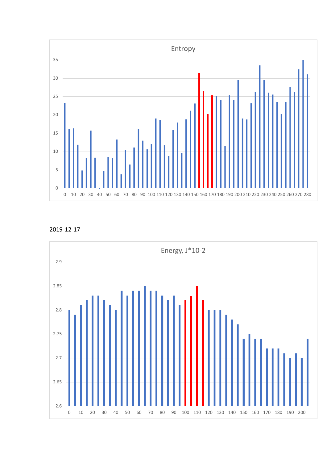

2019-12-17

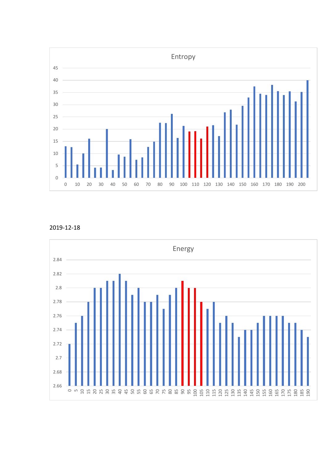

2019-12-18

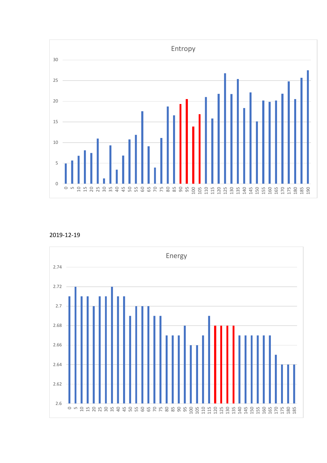

2019-12-19

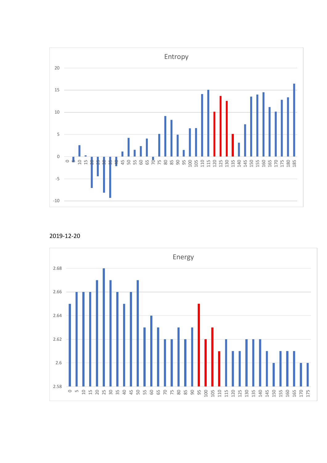

2019-12-20

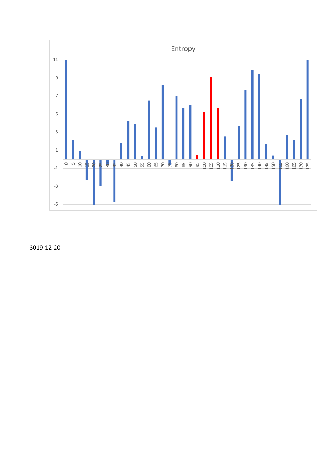

3019-12-20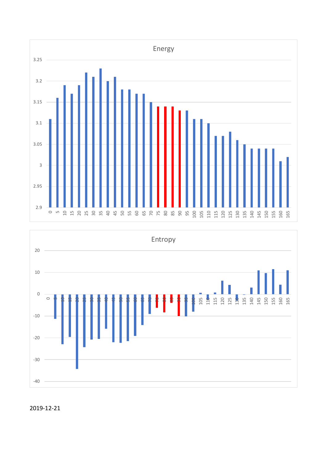